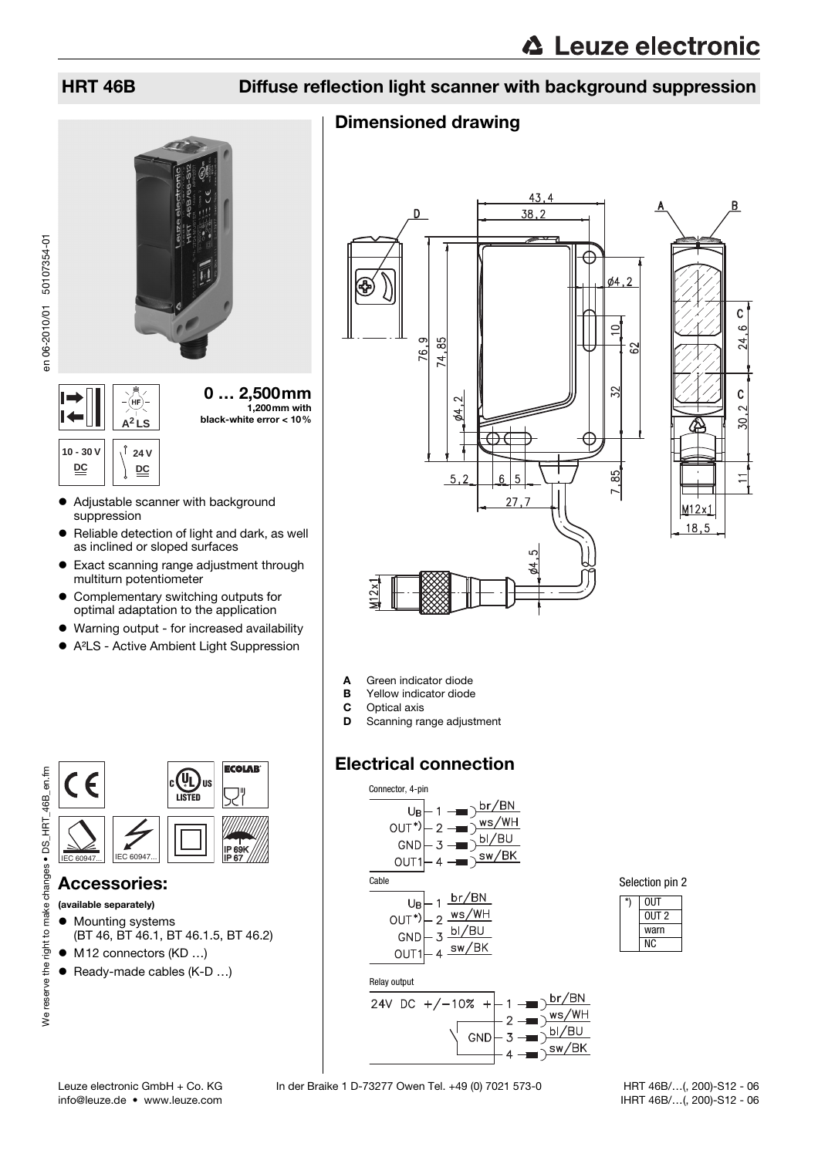# HRT 46B Diffuse reflection light scanner with background suppression

# Dimensioned drawing



- Adjustable scanner with background suppression
- Reliable detection of light and dark, as well as inclined or sloped surfaces
- Exact scanning range adjustment through multiturn potentiometer
- Complementary switching outputs for optimal adaptation to the application
- Warning output for increased availability
- A<sup>2</sup>LS Active Ambient Light Suppression



### Accessories:

#### (available separately)

We reserve the right to make changes • DS\_HRT\_46B\_en.fm

We reserve the right to make changes . DS HRT 46B en.fm

- Mounting systems (BT 46, BT 46.1, BT 46.1.5, BT 46.2)
- $\bullet$  M12 connectors (KD ...)
- $\bullet$  Ready-made cables (K-D ...)





- A Green indicator diode
- **B** Yellow indicator diode
- C Optical axis
- D Scanning range adjustment

# Electrical connection



Selection pin 2

| UUT   |  |
|-------|--|
| OUT 2 |  |
| warn  |  |
| к.    |  |

 HRT 46B/…(, 200)-S12 - 06 IHRT 46B/…(, 200)-S12 - 06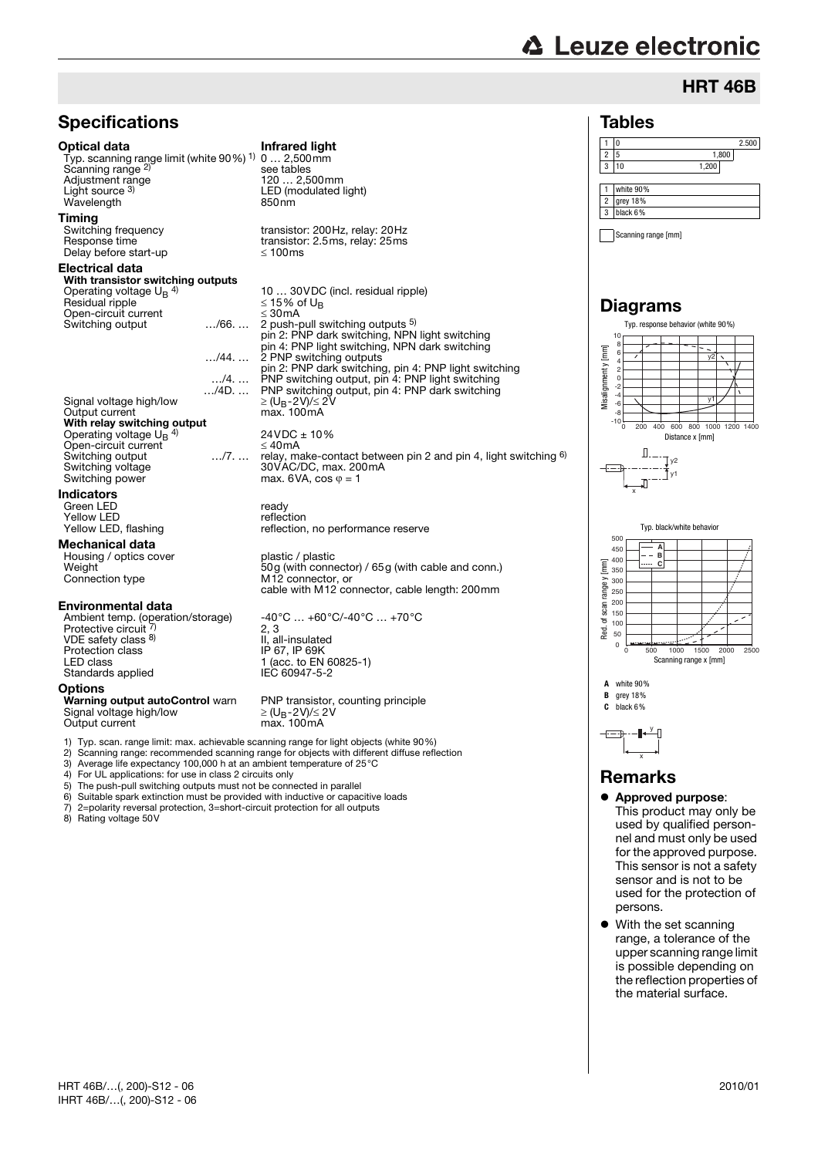# **∆ Leuze electronic**

# HRT 46B

 $2.500$ 



#### Remarks

- $\bullet$  Approved purpose: This product may only be used by qualified personnel and must only be used for the approved purpose. This sensor is not a safety sensor and is not to be used for the protection of persons.
- $\bullet$  With the set scanning range, a tolerance of the upper scanning range limit is possible depending on the reflection properties of the material surface.

8) Rating voltage 50V

5) The push-pull switching outputs must not be connected in parallel 6) Suitable spark extinction must be provided with inductive or capac

7) 2=polarity reversal protection, 3=short-circuit protection for all outputs

6) Suitable spark extinction must be provided with inductive or capacitive loads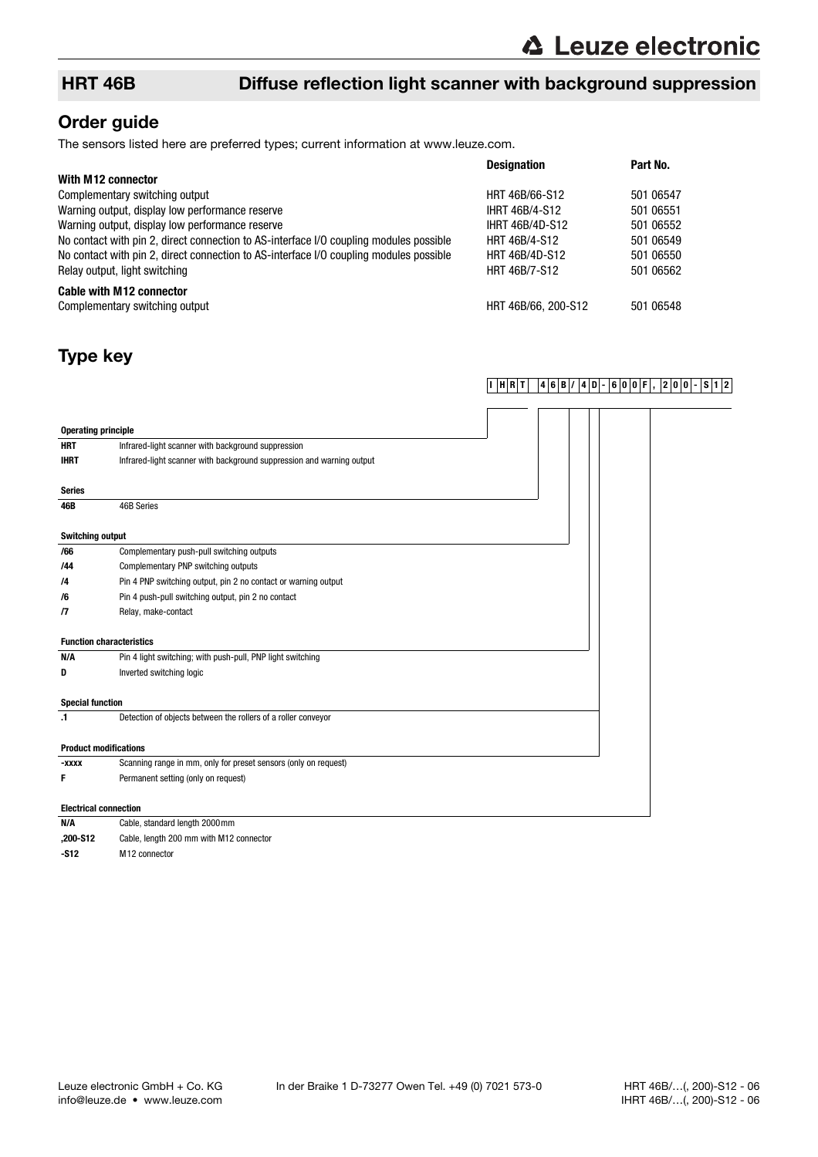## HRT 46B Diffuse reflection light scanner with background suppression

## Order guide

The sensors listed here are preferred types; current information at www.leuze.com.

|                                                                                        | <b>Designation</b>     | Part No.  |
|----------------------------------------------------------------------------------------|------------------------|-----------|
| With M12 connector                                                                     |                        |           |
| Complementary switching output                                                         | HRT 46B/66-S12         | 501 06547 |
| Warning output, display low performance reserve                                        | <b>IHRT 46B/4-S12</b>  | 501 06551 |
| Warning output, display low performance reserve                                        | <b>IHRT 46B/4D-S12</b> | 501 06552 |
| No contact with pin 2, direct connection to AS-interface I/O coupling modules possible | HRT 46B/4-S12          | 501 06549 |
| No contact with pin 2, direct connection to AS-interface I/O coupling modules possible | HRT 46B/4D-S12         | 501 06550 |
| Relay output, light switching                                                          | HRT 46B/7-S12          | 501 06562 |
| <b>Cable with M12 connector</b>                                                        |                        |           |
| Complementary switching output                                                         | HRT 46B/66, 200-S12    | 501 06548 |

# Type key

### **I HRT 46B/ 4D- 600F, 200- S12**

| <b>Operating principle</b>   |                                                                       |  |  |
|------------------------------|-----------------------------------------------------------------------|--|--|
| <b>HRT</b>                   | Infrared-light scanner with background suppression                    |  |  |
| <b>IHRT</b>                  | Infrared-light scanner with background suppression and warning output |  |  |
| <b>Series</b>                |                                                                       |  |  |
| 46B                          | 46B Series                                                            |  |  |
| <b>Switching output</b>      |                                                                       |  |  |
| /66                          | Complementary push-pull switching outputs                             |  |  |
| /44                          | Complementary PNP switching outputs                                   |  |  |
| /4                           | Pin 4 PNP switching output, pin 2 no contact or warning output        |  |  |
| /6                           | Pin 4 push-pull switching output, pin 2 no contact                    |  |  |
| /7                           | Relay, make-contact                                                   |  |  |
|                              | <b>Function characteristics</b>                                       |  |  |
| N/A                          | Pin 4 light switching; with push-pull, PNP light switching            |  |  |
| D                            | Inverted switching logic                                              |  |  |
| <b>Special function</b>      |                                                                       |  |  |
| $\cdot$ 1                    | Detection of objects between the rollers of a roller conveyor         |  |  |
|                              | <b>Product modifications</b>                                          |  |  |
| -xxxx                        | Scanning range in mm, only for preset sensors (only on request)       |  |  |
| F                            | Permanent setting (only on request)                                   |  |  |
| <b>Electrical connection</b> |                                                                       |  |  |
| N/A                          | Cable, standard length 2000 mm                                        |  |  |

**,200-S12** Cable, length 200 mm with M12 connector

**-S12** M12 connector